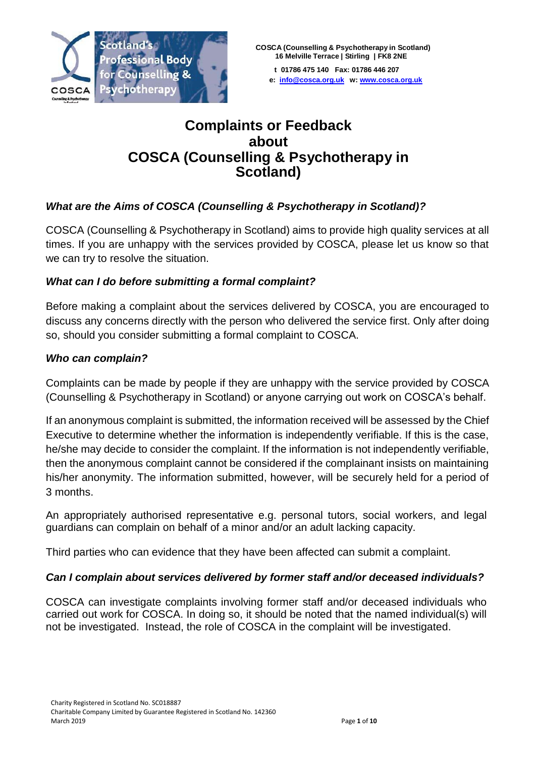

**e: [info@cosca.org.uk](mailto:info@cosca.org.uk) w: [www.cosca.org.uk](http://www.cosca.org.uk/)**

# **Complaints or Feedback about COSCA (Counselling & Psychotherapy in Scotland)**

## *What are the Aims of COSCA (Counselling & Psychotherapy in Scotland)?*

COSCA (Counselling & Psychotherapy in Scotland) aims to provide high quality services at all times. If you are unhappy with the services provided by COSCA, please let us know so that we can try to resolve the situation.

## *What can I do before submitting a formal complaint?*

Before making a complaint about the services delivered by COSCA, you are encouraged to discuss any concerns directly with the person who delivered the service first. Only after doing so, should you consider submitting a formal complaint to COSCA.

## *Who can complain?*

Complaints can be made by people if they are unhappy with the service provided by COSCA (Counselling & Psychotherapy in Scotland) or anyone carrying out work on COSCA's behalf.

If an anonymous complaint is submitted, the information received will be assessed by the Chief Executive to determine whether the information is independently verifiable. If this is the case, he/she may decide to consider the complaint. If the information is not independently verifiable, then the anonymous complaint cannot be considered if the complainant insists on maintaining his/her anonymity. The information submitted, however, will be securely held for a period of 3 months.

An appropriately authorised representative e.g. personal tutors, social workers, and legal guardians can complain on behalf of a minor and/or an adult lacking capacity.

Third parties who can evidence that they have been affected can submit a complaint.

## *Can I complain about services delivered by former staff and/or deceased individuals?*

COSCA can investigate complaints involving former staff and/or deceased individuals who carried out work for COSCA. In doing so, it should be noted that the named individual(s) will not be investigated. Instead, the role of COSCA in the complaint will be investigated.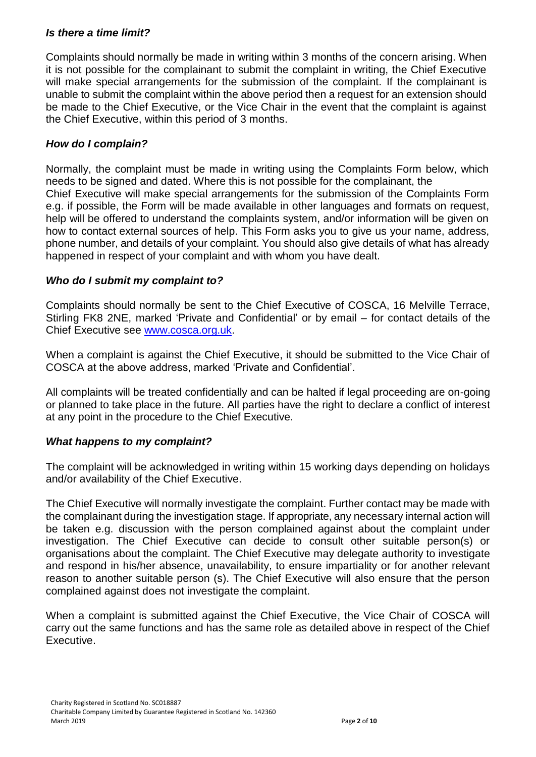#### *Is there a time limit?*

Complaints should normally be made in writing within 3 months of the concern arising. When it is not possible for the complainant to submit the complaint in writing, the Chief Executive will make special arrangements for the submission of the complaint. If the complainant is unable to submit the complaint within the above period then a request for an extension should be made to the Chief Executive, or the Vice Chair in the event that the complaint is against the Chief Executive, within this period of 3 months.

#### *How do I complain?*

Normally, the complaint must be made in writing using the Complaints Form below, which needs to be signed and dated. Where this is not possible for the complainant, the Chief Executive will make special arrangements for the submission of the Complaints Form e.g. if possible, the Form will be made available in other languages and formats on request, help will be offered to understand the complaints system, and/or information will be given on how to contact external sources of help. This Form asks you to give us your name, address, phone number, and details of your complaint. You should also give details of what has already happened in respect of your complaint and with whom you have dealt.

#### *Who do I submit my complaint to?*

Complaints should normally be sent to the Chief Executive of COSCA, 16 Melville Terrace, Stirling FK8 2NE, marked 'Private and Confidential' or by email – for contact details of the Chief Executive see [www.cosca.org.uk.](http://www.cosca.org.uk/)

When a complaint is against the Chief Executive, it should be submitted to the Vice Chair of COSCA at the above address, marked 'Private and Confidential'.

All complaints will be treated confidentially and can be halted if legal proceeding are on-going or planned to take place in the future. All parties have the right to declare a conflict of interest at any point in the procedure to the Chief Executive.

#### *What happens to my complaint?*

The complaint will be acknowledged in writing within 15 working days depending on holidays and/or availability of the Chief Executive.

The Chief Executive will normally investigate the complaint. Further contact may be made with the complainant during the investigation stage. If appropriate, any necessary internal action will be taken e.g. discussion with the person complained against about the complaint under investigation. The Chief Executive can decide to consult other suitable person(s) or organisations about the complaint. The Chief Executive may delegate authority to investigate and respond in his/her absence, unavailability, to ensure impartiality or for another relevant reason to another suitable person (s). The Chief Executive will also ensure that the person complained against does not investigate the complaint.

When a complaint is submitted against the Chief Executive, the Vice Chair of COSCA will carry out the same functions and has the same role as detailed above in respect of the Chief Executive.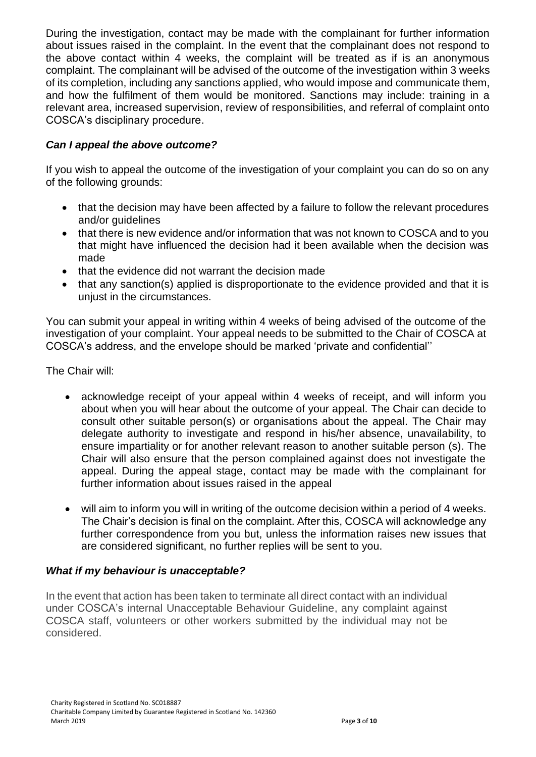During the investigation, contact may be made with the complainant for further information about issues raised in the complaint. In the event that the complainant does not respond to the above contact within 4 weeks, the complaint will be treated as if is an anonymous complaint. The complainant will be advised of the outcome of the investigation within 3 weeks of its completion, including any sanctions applied, who would impose and communicate them, and how the fulfilment of them would be monitored. Sanctions may include: training in a relevant area, increased supervision, review of responsibilities, and referral of complaint onto COSCA's disciplinary procedure.

## *Can I appeal the above outcome?*

If you wish to appeal the outcome of the investigation of your complaint you can do so on any of the following grounds:

- that the decision may have been affected by a failure to follow the relevant procedures and/or guidelines
- that there is new evidence and/or information that was not known to COSCA and to you that might have influenced the decision had it been available when the decision was made
- that the evidence did not warrant the decision made
- that any sanction(s) applied is disproportionate to the evidence provided and that it is unjust in the circumstances.

You can submit your appeal in writing within 4 weeks of being advised of the outcome of the investigation of your complaint. Your appeal needs to be submitted to the Chair of COSCA at COSCA's address, and the envelope should be marked 'private and confidential''

The Chair will:

- acknowledge receipt of your appeal within 4 weeks of receipt, and will inform you about when you will hear about the outcome of your appeal. The Chair can decide to consult other suitable person(s) or organisations about the appeal. The Chair may delegate authority to investigate and respond in his/her absence, unavailability, to ensure impartiality or for another relevant reason to another suitable person (s). The Chair will also ensure that the person complained against does not investigate the appeal. During the appeal stage, contact may be made with the complainant for further information about issues raised in the appeal
- will aim to inform you will in writing of the outcome decision within a period of 4 weeks. The Chair's decision is final on the complaint. After this, COSCA will acknowledge any further correspondence from you but, unless the information raises new issues that are considered significant, no further replies will be sent to you.

## *What if my behaviour is unacceptable?*

In the event that action has been taken to terminate all direct contact with an individual under COSCA's internal Unacceptable Behaviour Guideline, any complaint against COSCA staff, volunteers or other workers submitted by the individual may not be considered.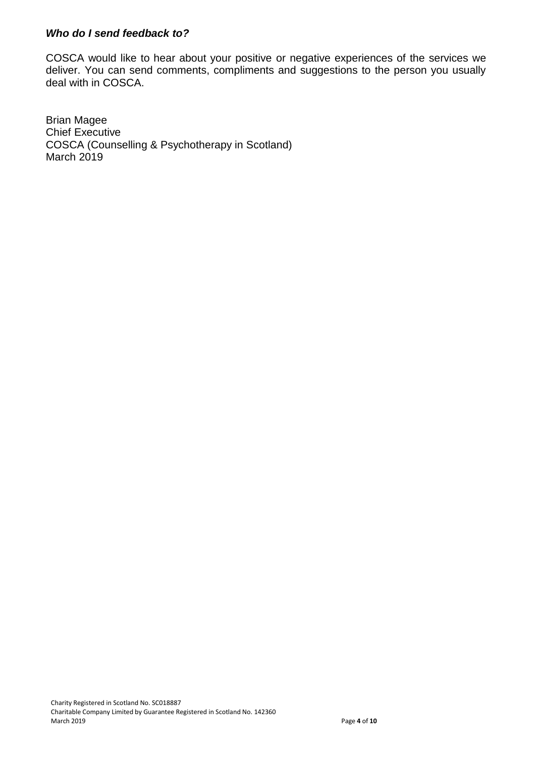#### *Who do I send feedback to?*

COSCA would like to hear about your positive or negative experiences of the services we deliver. You can send comments, compliments and suggestions to the person you usually deal with in COSCA.

Brian Magee Chief Executive COSCA (Counselling & Psychotherapy in Scotland) March 2019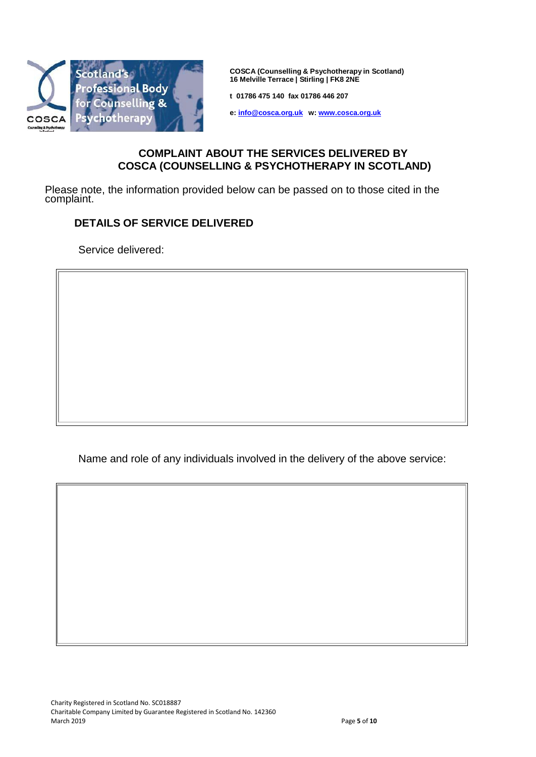

**COSCA (Counselling & Psychotherapy in Scotland) 16 Melville Terrace | Stirling | FK8 2NE**

**t 01786 475 140 fax 01786 446 207**

**e: [info@cosca.org.uk](mailto:info@cosca.org.uk) w: [www.cosca.org.uk](http://www.cosca.org.uk/)**

#### **COMPLAINT ABOUT THE SERVICES DELIVERED BY COSCA (COUNSELLING & PSYCHOTHERAPY IN SCOTLAND)**

Please note, the information provided below can be passed on to those cited in the complaint.

#### **DETAILS OF SERVICE DELIVERED**

Service delivered:

Name and role of any individuals involved in the delivery of the above service: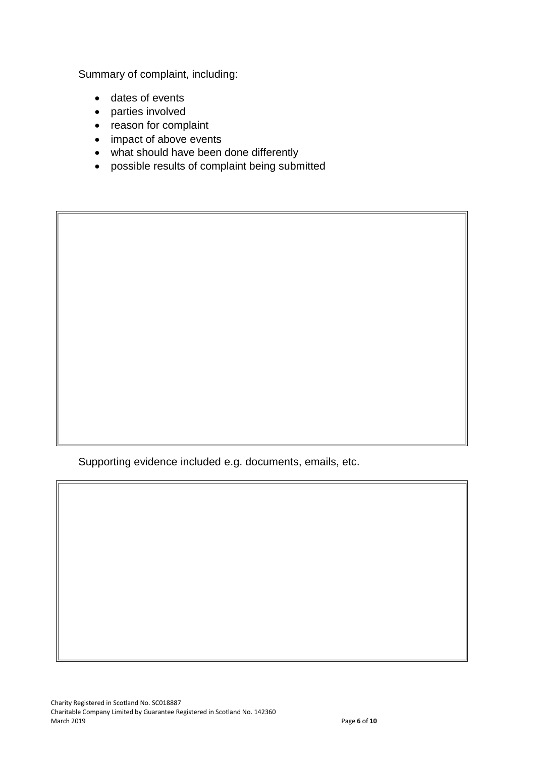Summary of complaint, including:

- dates of events
- parties involved
- reason for complaint
- impact of above events
- what should have been done differently
- possible results of complaint being submitted

Supporting evidence included e.g. documents, emails, etc.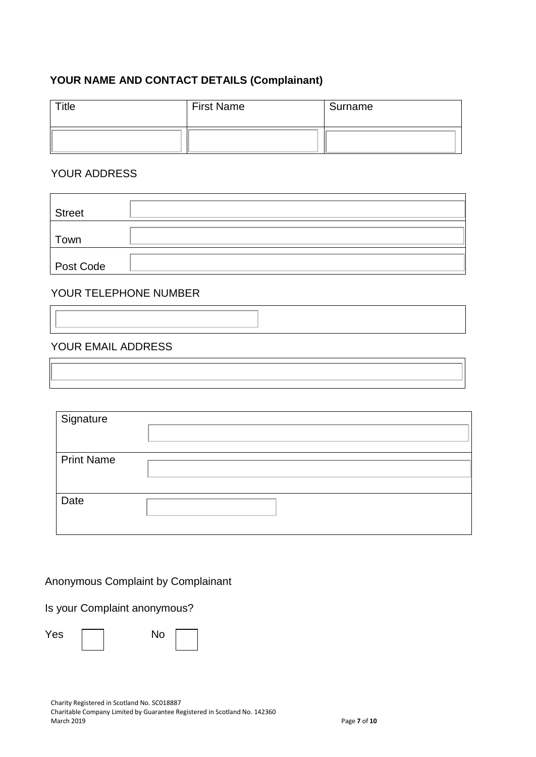## **YOUR NAME AND CONTACT DETAILS (Complainant)**

| Title | <b>First Name</b> | Surname |
|-------|-------------------|---------|
|       |                   |         |

## YOUR ADDRESS

| <b>Street</b> |  |
|---------------|--|
| Town          |  |
| Post Code     |  |

#### YOUR TELEPHONE NUMBER

#### YOUR EMAIL ADDRESS

| Signature         |  |
|-------------------|--|
| <b>Print Name</b> |  |
| Date              |  |

## Anonymous Complaint by Complainant

Is your Complaint anonymous?

| Yes | No |  |
|-----|----|--|
|     |    |  |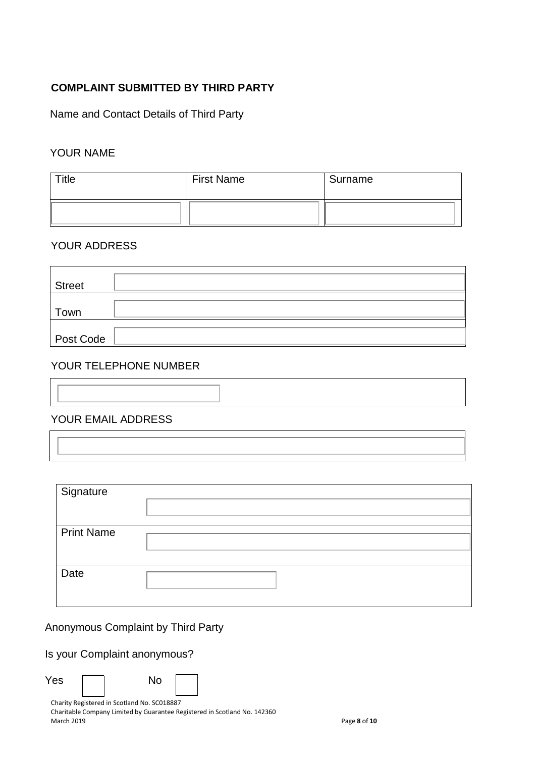## **COMPLAINT SUBMITTED BY THIRD PARTY**

Name and Contact Details of Third Party

## YOUR NAME

| $r$ itle | <b>First Name</b> | Surname |
|----------|-------------------|---------|
|          |                   |         |

#### YOUR ADDRESS

| Street    |  |
|-----------|--|
| Town      |  |
| Post Code |  |

## YOUR TELEPHONE NUMBER

| YOUR EMAIL ADDRESS |  |  |
|--------------------|--|--|

#### YOUR EMAIL ADDRESS

| Signature         |  |
|-------------------|--|
|                   |  |
| <b>Print Name</b> |  |
|                   |  |
|                   |  |
| Date              |  |
|                   |  |

Anonymous Complaint by Third Party

Is your Complaint anonymous?

 $Yes \frown$  No

Charity Registered in Scotland No. SC018887 Charitable Company Limited by Guarantee Registered in Scotland No. 142360 March 2019 Page **8** of **10**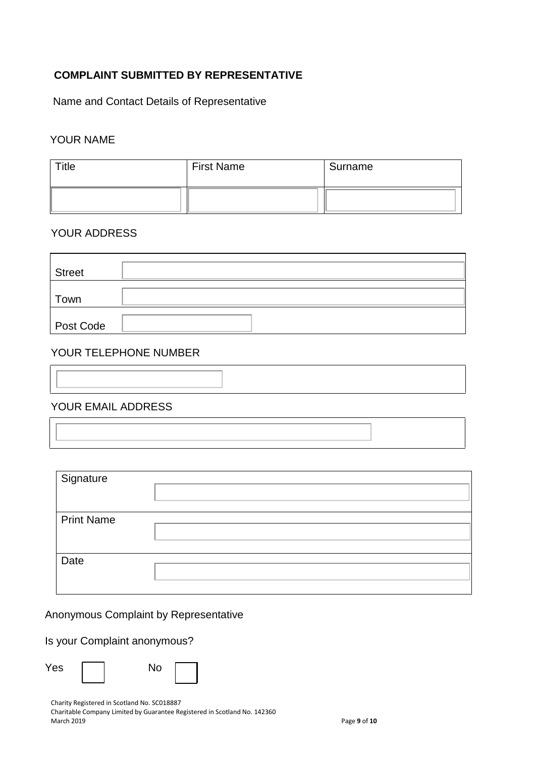## **COMPLAINT SUBMITTED BY REPRESENTATIVE**

Name and Contact Details of Representative

#### YOUR NAME

| Title | <b>First Name</b> | Surname |
|-------|-------------------|---------|
|       |                   |         |

#### YOUR ADDRESS

| <b>Street</b> |  |
|---------------|--|
| Town          |  |
| Post Code     |  |

## YOUR TELEPHONE NUMBER

## YOUR EMAIL ADDRESS

| Signature         |  |
|-------------------|--|
| <b>Print Name</b> |  |
| Date              |  |

Anonymous Complaint by Representative

#### Is your Complaint anonymous?

| Yes | No |
|-----|----|
|-----|----|

| I<br>۰.<br>× |  |
|--------------|--|
|              |  |

Charity Registered in Scotland No. SC018887

Charitable Company Limited by Guarantee Registered in Scotland No. 142360 March 2019 Page **9** of **10**